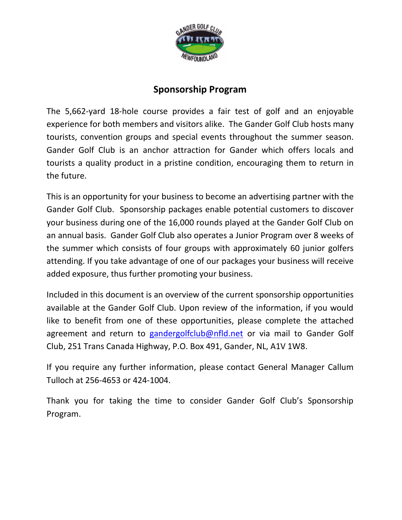

# **Sponsorship Program**

The 5,662-yard 18-hole course provides a fair test of golf and an enjoyable experience for both members and visitors alike. The Gander Golf Club hosts many tourists, convention groups and special events throughout the summer season. Gander Golf Club is an anchor attraction for Gander which offers locals and tourists a quality product in a pristine condition, encouraging them to return in the future.

This is an opportunity for your business to become an advertising partner with the Gander Golf Club. Sponsorship packages enable potential customers to discover your business during one of the 16,000 rounds played at the Gander Golf Club on an annual basis. Gander Golf Club also operates a Junior Program over 8 weeks of the summer which consists of four groups with approximately 60 junior golfers attending. If you take advantage of one of our packages your business will receive added exposure, thus further promoting your business.

Included in this document is an overview of the current sponsorship opportunities available at the Gander Golf Club. Upon review of the information, if you would like to benefit from one of these opportunities, please complete the attached agreement and return to [gandergolfclub@nfld.net](mailto:gandergolfclub@nfld.net) or via mail to Gander Golf Club, 251 Trans Canada Highway, P.O. Box 491, Gander, NL, A1V 1W8.

If you require any further information, please contact General Manager Callum Tulloch at 256-4653 or 424-1004.

Thank you for taking the time to consider Gander Golf Club's Sponsorship Program.